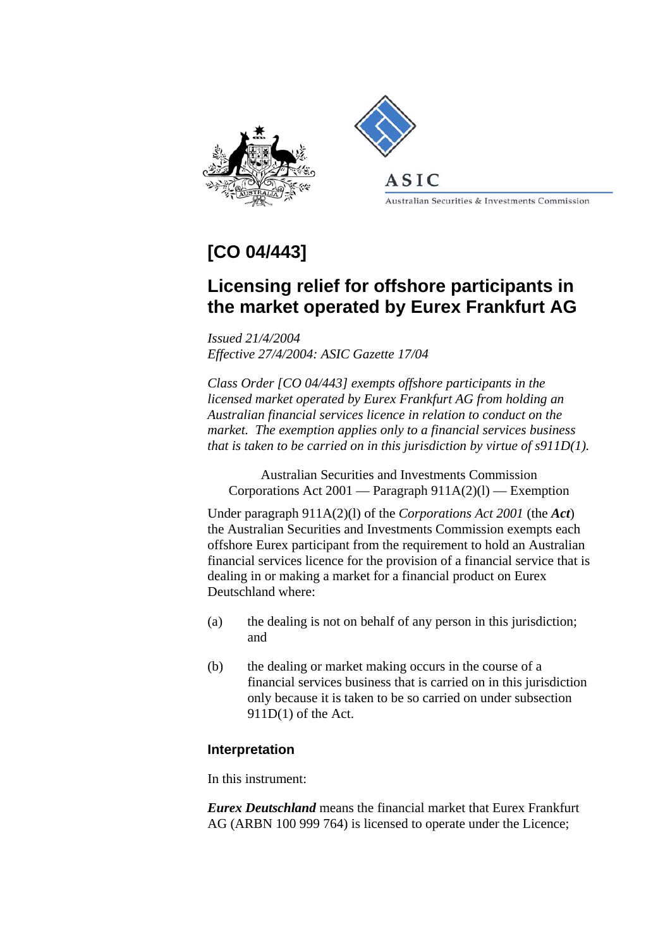



ASIC

Australian Securities & Investments Commission

## **[CO 04/443]**

## **Licensing relief for offshore participants in the market operated by Eurex Frankfurt AG**

*Issued 21/4/2004 Effective 27/4/2004: ASIC Gazette 17/04* 

*Class Order [CO 04/443] exempts offshore participants in the licensed market operated by Eurex Frankfurt AG from holding an Australian financial services licence in relation to conduct on the market. The exemption applies only to a financial services business that is taken to be carried on in this jurisdiction by virtue of s911D(1).*

Australian Securities and Investments Commission Corporations Act  $2001$  — Paragraph  $911A(2)(l)$  — Exemption

Under paragraph 911A(2)(l) of the *Corporations Act 2001* (the *Act*) the Australian Securities and Investments Commission exempts each offshore Eurex participant from the requirement to hold an Australian financial services licence for the provision of a financial service that is dealing in or making a market for a financial product on Eurex Deutschland where:

- (a) the dealing is not on behalf of any person in this jurisdiction; and
- (b) the dealing or market making occurs in the course of a financial services business that is carried on in this jurisdiction only because it is taken to be so carried on under subsection 911D(1) of the Act.

## **Interpretation**

In this instrument:

*Eurex Deutschland* means the financial market that Eurex Frankfurt AG (ARBN 100 999 764) is licensed to operate under the Licence;